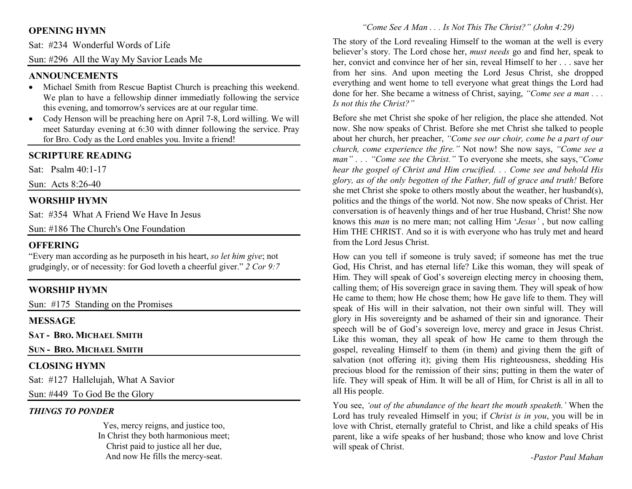# **OPENING HYMN**

Sat: #234 Wonderful Words of Life

Sun: #296 All the Way My Savior Leads Me

## **ANNOUNCEMENTS**

- Michael Smith from Rescue Baptist Church is preaching this weekend. We plan to have a fellowship dinner immediatly following the service this evening, and tomorrow's services are at our regular time.
- Cody Henson will be preaching here on April 7-8, Lord willing. We will meet Saturday evening at 6:30 with dinner following the service. Pray for Bro. Cody as the Lord enables you. Invite a friend!

## **SCRIPTURE READING**

Sat: Psalm 40:1-17

Sun: Acts 8:26-40

# **WORSHIP HYMN**

Sat: #354 What A Friend We Have In Jesus

Sun: #186 The Church's One Foundation

#### **OFFERING**

 "Every man according as he purposeth in his heart, *so let him give*; not grudgingly, or of necessity: for God loveth a cheerful giver." *2 Cor 9:7*

# **WORSHIP HYMN**

Sun: #175 Standing on the Promises

#### **MESSAGE**

**SAT - <sup>B</sup>RO. <sup>M</sup>ICHAEL SMITH**

**SUN - <sup>B</sup>RO. <sup>M</sup>ICHAEL SMITH**

# **CLOSING HYMN**

Sat: #127 Hallelujah, What A Savior

Sun: #449 To God Be the Glory

#### *THINGS TO PONDER*

 Yes, mercy reigns, and justice too, In Christ they both harmonious meet; Christ paid to justice all her due, And now He fills the mercy-seat.

#### *"Come See A Man . . . Is Not This The Christ?" (John 4:29)*

The story of the Lord revealing Himself to the woman at the well is every believer's story. The Lord chose her, *must needs* go and find her, speak to her, convict and convince her of her sin, reveal Himself to her . . . save her from her sins. And upon meeting the Lord Jesus Christ, she dropped everything and went home to tell everyone what great things the Lord had done for her. She became a witness of Christ, saying, *"Come see a man . . . Is not this the Christ?"*

Before she met Christ she spoke of her religion, the place she attended. Not now. She now speaks of Christ. Before she met Christ she talked to people about her church, her preacher, *"Come see our choir, come be a part of our church, come experience the fire."* Not now! She now says, *"Come see a man" . . . "Come see the Christ."* To everyone she meets, she says,*"Come hear the gospel of Christ and Him crucified. . . Come see and behold His glory, as of the only begotten of the Father, full of grace and truth!* Before she met Christ she spoke to others mostly about the weather, her husband(s), politics and the things of the world. Not now. She now speaks of Christ. Her conversation is of heavenly things and of her true Husband, Christ! She now knows this *man* is no mere man; not calling Him '*Jesus'* , but now calling Him THE CHRIST. And so it is with everyone who has truly met and heard from the Lord Jesus Christ.

How can you tell if someone is truly saved; if someone has met the true God, His Christ, and has eternal life? Like this woman, they will speak of Him. They will speak of God's sovereign electing mercy in choosing them, calling them; of His sovereign grace in saving them. They will speak of how He came to them; how He chose them; how He gave life to them. They will speak of His will in their salvation, not their own sinful will. They will glory in His sovereignty and be ashamed of their sin and ignorance. Their speech will be of God's sovereign love, mercy and grace in Jesus Christ. Like this woman, they all speak of how He came to them through the gospel, revealing Himself to them (in them) and giving them the gift of salvation (not offering it); giving them His righteousness, shedding His precious blood for the remission of their sins; putting in them the water of life. They will speak of Him. It will be all of Him, for Christ is all in all to all His people.

You see, *'out of the abundance of the heart the mouth speaketh.'* When the Lord has truly revealed Himself in you; if *Christ is in you*, you will be in love with Christ, eternally grateful to Christ, and like a child speaks of His parent, like a wife speaks of her husband; those who know and love Christ will speak of Christ.